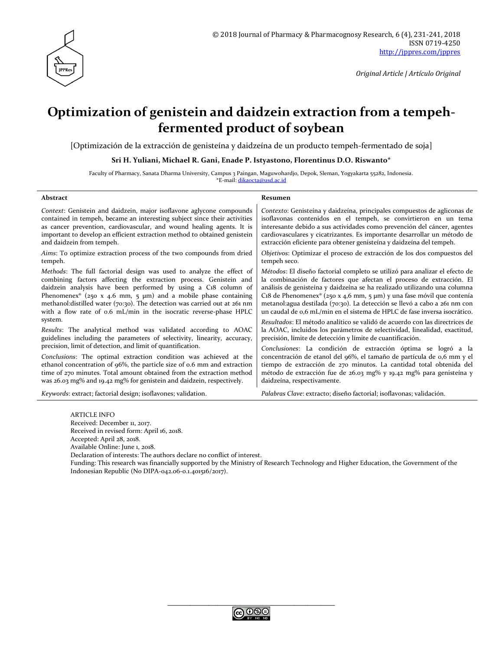

# **Optimization of genistein and daidzein extraction from a tempehfermented product of soybean**

[Optimización de la extracción de genisteína y daidzeína de un producto tempeh-fermentado de soja]

**Sri H. Yuliani, Michael R. Gani, Enade P. Istyastono, Florentinus D.O. Riswanto\***

Faculty of Pharmacy, Sanata Dharma University, Campus 3 Paingan, Maguwohardjo, Depok, Sleman, Yogyakarta 55282, Indonesia. \*E-mail: [dikaocta@usd.ac.id](mailto:dikaocta@usd.ac.id)

#### **Abstract Resumen**

| Context: Genistein and daidzein, major isoflavone aglycone compounds            | Contexto: Genisteína y daidzeína, principales compuestos de agliconas de          |  |
|---------------------------------------------------------------------------------|-----------------------------------------------------------------------------------|--|
| contained in tempeh, became an interesting subject since their activities       | isoflavonas contenidos en el tempeh, se convirtieron en un tema                   |  |
| as cancer prevention, cardiovascular, and wound healing agents. It is           | interesante debido a sus actividades como prevención del cáncer, agentes          |  |
| important to develop an efficient extraction method to obtained genistein       | cardiovasculares y cicatrizantes. Es importante desarrollar un método de          |  |
| and daidzein from tempeh.                                                       | extracción eficiente para obtener genisteína y daidzeína del tempeh.              |  |
| Aims: To optimize extraction process of the two compounds from dried            | Objetivos: Optimizar el proceso de extracción de los dos compuestos del           |  |
| tempeh.                                                                         | tempeh seco.                                                                      |  |
| Methods: The full factorial design was used to analyze the effect of            | Métodos: El diseño factorial completo se utilizó para analizar el efecto de       |  |
| combining factors affecting the extraction process. Genistein and               | la combinación de factores que afectan el proceso de extracción. El               |  |
| daidzein analysis have been performed by using a C18 column of                  | análisis de genisteína y daidzeína se ha realizado utilizando una columna         |  |
| Phenomenex <sup>®</sup> (250 x 4.6 mm, 5 $\mu$ m) and a mobile phase containing | C18 de Phenomenex <sup>®</sup> (250 x 4,6 mm, 5 µm) y una fase móvil que contenía |  |
| methanol: distilled water (70:30). The detection was carried out at 261 nm      | metanol: agua destilada (70:30). La detección se llevó a cabo a 261 nm con        |  |
| with a flow rate of 0.6 mL/min in the isocratic reverse-phase HPLC              | un caudal de 0,6 mL/min en el sistema de HPLC de fase inversa isocrático.         |  |
| system.                                                                         | Resultados: El método analítico se validó de acuerdo con las directrices de       |  |
| Results: The analytical method was validated according to AOAC                  | la AOAC, incluidos los parámetros de selectividad, linealidad, exactitud,         |  |
| guidelines including the parameters of selectivity, linearity, accuracy,        | precisión, límite de detección y límite de cuantificación.                        |  |
| precision, limit of detection, and limit of quantification.                     | Conclusiones: La condición de extracción óptima se logró a la                     |  |
| Conclusions: The optimal extraction condition was achieved at the               | concentración de etanol del 96%, el tamaño de partícula de 0,6 mm y el            |  |
| ethanol concentration of 96%, the particle size of 0.6 mm and extraction        | tiempo de extracción de 270 minutos. La cantidad total obtenida del               |  |
| time of 270 minutes. Total amount obtained from the extraction method           | método de extracción fue de 26.03 mg% y 19.42 mg% para genisteína y               |  |
| was 26.03 mg% and 19.42 mg% for genistein and daidzein, respectively.           | daidzeína, respectivamente.                                                       |  |
| Keywords: extract; factorial design; isoflavones; validation.                   | Palabras Clave: extracto; diseño factorial; isoflavonas; validación.              |  |

ARTICLE INFO Received: December 11, 2017. Received in revised form: April 16, 2018. Accepted: April 28, 2018. Available Online: June 1, 2018. Declaration of interests: The authors declare no conflict of interest. Funding: This research was financially supported by the Ministry of Research Technology and Higher Education, the Government of the Indonesian Republic (No DIPA-042.06-0.1.401516/2017).

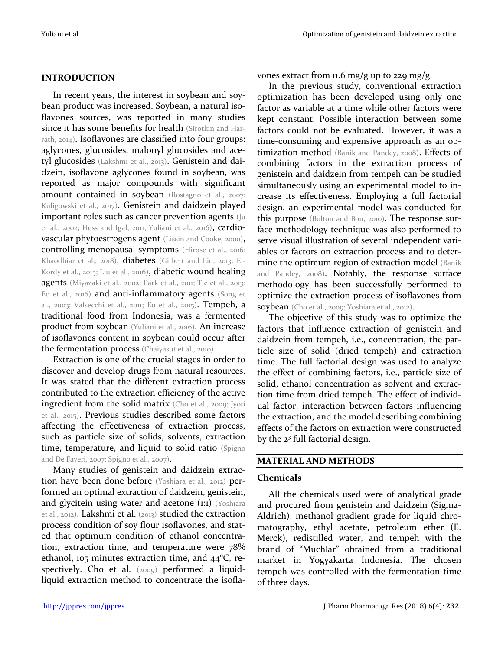#### **INTRODUCTION**

In recent years, the interest in soybean and soybean product was increased. Soybean, a natural isoflavones sources, was reported in many studies since it has some benefits for health (Sirotkin and Harrath, 2014). Isoflavones are classified into four groups: aglycones, glucosides, malonyl glucosides and acetyl glucosides (Lakshmi et al., 2013). Genistein and daidzein, isoflavone aglycones found in soybean, was reported as major compounds with significant amount contained in soybean (Rostagno et al., 2007; Kuligowski et al., 2017). Genistein and daidzein played important roles such as cancer prevention agents (Ju et al., 2002; Hess and Igal, 2011; Yuliani et al., 2016), cardiovascular phytoestrogens agent (Lissin and Cooke, 2000), controlling menopausal symptoms (Hirose et al., 2016; Khaodhiar et al., 2018), diabetes (Gilbert and Liu, 2013; El-Kordy et al., 2015; Liu et al., 2016), diabetic wound healing agents (Miyazaki et al., 2002; Park et al., 2011; Tie et al., 2013; Eo et al., 2016) and anti-inflammatory agents (Song et al., 2003; Valsecchi et al., 2011; Eo et al., 2015). Tempeh, a traditional food from Indonesia, was a fermented product from soybean (Yuliani et al., 2016). An increase of isoflavones content in soybean could occur after the fermentation process (Chaiyasut et al., 2010).

Extraction is one of the crucial stages in order to discover and develop drugs from natural resources. It was stated that the different extraction process contributed to the extraction efficiency of the active ingredient from the solid matrix (Cho et al., 2009; Jyoti et al., 2015). Previous studies described some factors affecting the effectiveness of extraction process, such as particle size of solids, solvents, extraction time, temperature, and liquid to solid ratio (Spigno and De Faveri, 2007; Spigno et al., 2007).

Many studies of genistein and daidzein extraction have been done before (Yoshiara et al., 2012) performed an optimal extraction of daidzein, genistein, and glycitein using water and acetone (1:1) (Yoshiara et al., 2012). Lakshmi et al. (2013) studied the extraction process condition of soy flour isoflavones, and stated that optimum condition of ethanol concentration, extraction time, and temperature were 78% ethanol, 105 minutes extraction time, and  $44^{\circ}$ C, respectively. Cho et al. (2009) performed a liquidliquid extraction method to concentrate the isoflavones extract from 11.6 mg/g up to 229 mg/g.

In the previous study, conventional extraction optimization has been developed using only one factor as variable at a time while other factors were kept constant. Possible interaction between some factors could not be evaluated. However, it was a time-consuming and expensive approach as an optimization method (Banik and Pandey, 2008). Effects of combining factors in the extraction process of genistein and daidzein from tempeh can be studied simultaneously using an experimental model to increase its effectiveness. Employing a full factorial design, an experimental model was conducted for this purpose (Bolton and Bon, 2010). The response surface methodology technique was also performed to serve visual illustration of several independent variables or factors on extraction process and to determine the optimum region of extraction model (Banik and Pandey, 2008). Notably, the response surface methodology has been successfully performed to optimize the extraction process of isoflavones from soybean (Cho et al., 2009; Yoshiara et al., 2012).

The objective of this study was to optimize the factors that influence extraction of genistein and daidzein from tempeh, i.e., concentration, the particle size of solid (dried tempeh) and extraction time. The full factorial design was used to analyze the effect of combining factors, i.e., particle size of solid, ethanol concentration as solvent and extraction time from dried tempeh. The effect of individual factor, interaction between factors influencing the extraction, and the model describing combining effects of the factors on extraction were constructed by the 2<sup>3</sup> full factorial design.

#### **MATERIAL AND METHODS**

#### **Chemicals**

All the chemicals used were of analytical grade and procured from genistein and daidzein (Sigma-Aldrich), methanol gradient grade for liquid chromatography, ethyl acetate, petroleum ether (E. Merck), redistilled water, and tempeh with the brand of "Muchlar" obtained from a traditional market in Yogyakarta Indonesia. The chosen tempeh was controlled with the fermentation time of three days.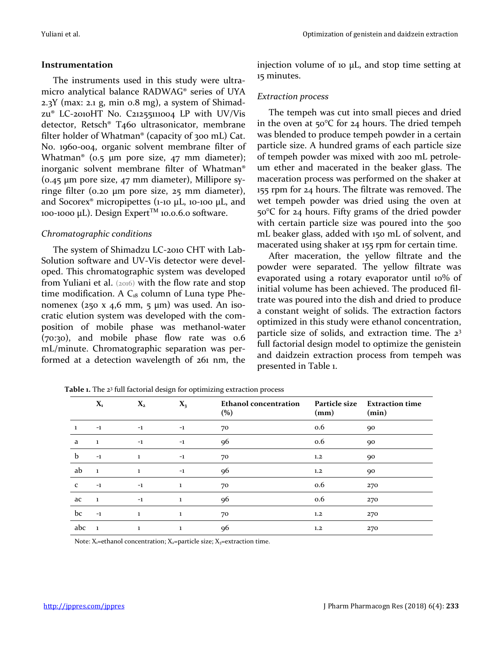#### **Instrumentation**

The instruments used in this study were ultramicro analytical balance RADWAG® series of UYA 2.3Y (max: 2.1 g, min 0.8 mg), a system of Shimadzu® LC-2010HT No. C21255111004 LP with UV/Vis detector, Retsch® T460 ultrasonicator, membrane filter holder of Whatman® (capacity of 300 mL) Cat. No. 1960-004, organic solvent membrane filter of Whatman<sup>®</sup> (0.5 µm pore size, 47 mm diameter); inorganic solvent membrane filter of Whatman® (0.45 µm pore size, 47 mm diameter), Millipore syringe filter (0.20 µm pore size, 25 mm diameter), and Socorex<sup>®</sup> micropipettes (1-10 µL, 10-100 µL, and 100-1000 µL). Design Expert<sup>™</sup> 10.0.6.0 software.

## *Chromatographic conditions*

The system of Shimadzu LC-2010 CHT with Lab-Solution software and UV-Vis detector were developed. This chromatographic system was developed from Yuliani et al. (2016) with the flow rate and stop time modification. A  $C_{18}$  column of Luna type Phenomenex (250 x 4,6 mm, 5  $\mu$ m) was used. An isocratic elution system was developed with the composition of mobile phase was methanol-water (70:30), and mobile phase flow rate was 0.6 mL/minute. Chromatographic separation was performed at a detection wavelength of 261 nm, the injection volume of 10 μL, and stop time setting at 15 minutes.

## *Extraction process*

The tempeh was cut into small pieces and dried in the oven at 50°C for 24 hours. The dried tempeh was blended to produce tempeh powder in a certain particle size. A hundred grams of each particle size of tempeh powder was mixed with 200 mL petroleum ether and macerated in the beaker glass. The maceration process was performed on the shaker at 155 rpm for 24 hours. The filtrate was removed. The wet tempeh powder was dried using the oven at 50°C for 24 hours. Fifty grams of the dried powder with certain particle size was poured into the 500 mL beaker glass, added with 150 mL of solvent, and macerated using shaker at 155 rpm for certain time.

After maceration, the yellow filtrate and the powder were separated. The yellow filtrate was evaporated using a rotary evaporator until 10% of initial volume has been achieved. The produced filtrate was poured into the dish and dried to produce a constant weight of solids. The extraction factors optimized in this study were ethanol concentration, particle size of solids, and extraction time. The 2<sup>3</sup> full factorial design model to optimize the genistein and daidzein extraction process from tempeh was presented in Table 1.

|              | $\mathbf{X}_{\mathbf{1}}$ | $X_{2}$ | $X_3$    | <b>Ethanol concentration</b><br>(%) | <b>Particle size</b><br>(mm) | <b>Extraction time</b><br>(min) |
|--------------|---------------------------|---------|----------|-------------------------------------|------------------------------|---------------------------------|
| 1            | $-1$                      | $-1$    | $-1$     | 70                                  | 0.6                          | 90                              |
| a            | 1                         | $-1$    | $-1$     | 96                                  | 0.6                          | 90                              |
| b            | $-1$                      | 1       | $-1$     | 70                                  | 1,2                          | 90                              |
| ab           | $\mathbf{1}$              | 1       | $-1$     | 96                                  | 1,2                          | 90                              |
| $\mathbf{C}$ | $^{-1}$                   | $^{-1}$ | $\bf{1}$ | 70                                  | 0.6                          | 270                             |
| ac           | -1                        | $^{-1}$ | $\bf{1}$ | 96                                  | 0.6                          | 270                             |
| bc           | $-1$                      | 1       | 1        | 70                                  | 1,2                          | 270                             |
| abc          | L.                        | 1       | 1        | 96                                  | 1,2                          | 270                             |

**Table 1.** The 2<sup>3</sup> full factorial design for optimizing extraction process

Note:  $X_1$ =ethanol concentration;  $X_2$ =particle size;  $X_3$ =extraction time.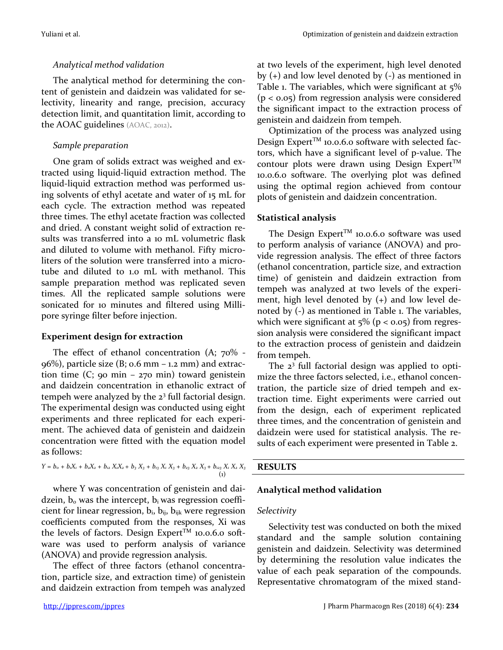## *Analytical method validation*

The analytical method for determining the content of genistein and daidzein was validated for selectivity, linearity and range, precision, accuracy detection limit, and quantitation limit, according to the AOAC guidelines (AOAC, 2012).

## *Sample preparation*

One gram of solids extract was weighed and extracted using liquid-liquid extraction method. The liquid-liquid extraction method was performed using solvents of ethyl acetate and water of 15 mL for each cycle. The extraction method was repeated three times. The ethyl acetate fraction was collected and dried. A constant weight solid of extraction results was transferred into a 10 mL volumetric flask and diluted to volume with methanol. Fifty microliters of the solution were transferred into a microtube and diluted to 1.0 mL with methanol. This sample preparation method was replicated seven times. All the replicated sample solutions were sonicated for 10 minutes and filtered using Millipore syringe filter before injection.

## **Experiment design for extraction**

The effect of ethanol concentration (A; 70% -  $96\%$ ), particle size (B;  $0.6$  mm –  $1.2$  mm) and extraction time  $(C; qo min - 270 min)$  toward genistein and daidzein concentration in ethanolic extract of tempeh were analyzed by the 2<sup>3</sup> full factorial design. The experimental design was conducted using eight experiments and three replicated for each experiment. The achieved data of genistein and daidzein concentration were fitted with the equation model as follows:

$$
Y = b_0 + b_1X_1 + b_2X_2 + b_{12}X_1X_2 + b_3X_3 + b_{13}X_1X_3 + b_{23}X_2X_3 + b_{23}X_1X_2X_3
$$
\n(1)

where Y was concentration of genistein and daidzein,  $b_0$  was the intercept,  $b_i$  was regression coefficient for linear regression,  $b_i$ ,  $b_{ij}$ ,  $b_{ijk}$  were regression coefficients computed from the responses, Xi was the levels of factors. Design Expert<sup>TM</sup> 10.0.6.0 software was used to perform analysis of variance (ANOVA) and provide regression analysis.

The effect of three factors (ethanol concentration, particle size, and extraction time) of genistein and daidzein extraction from tempeh was analyzed at two levels of the experiment, high level denoted by (+) and low level denoted by (-) as mentioned in Table 1. The variables, which were significant at 5%  $(p < 0.05)$  from regression analysis were considered the significant impact to the extraction process of genistein and daidzein from tempeh.

Optimization of the process was analyzed using Design Expert<sup>TM</sup> 10.0.6.0 software with selected factors, which have a significant level of p-value. The contour plots were drawn using Design Expert<sup>TM</sup> 10.0.6.0 software. The overlying plot was defined using the optimal region achieved from contour plots of genistein and daidzein concentration.

## **Statistical analysis**

The Design Expert<sup>TM</sup> 10.0.6.0 software was used to perform analysis of variance (ANOVA) and provide regression analysis. The effect of three factors (ethanol concentration, particle size, and extraction time) of genistein and daidzein extraction from tempeh was analyzed at two levels of the experiment, high level denoted by (+) and low level denoted by (-) as mentioned in Table 1. The variables, which were significant at  $5\%$  (p < 0.05) from regression analysis were considered the significant impact to the extraction process of genistein and daidzein from tempeh.

The 2<sup>3</sup> full factorial design was applied to optimize the three factors selected, i.e., ethanol concentration, the particle size of dried tempeh and extraction time. Eight experiments were carried out from the design, each of experiment replicated three times, and the concentration of genistein and daidzein were used for statistical analysis. The results of each experiment were presented in Table 2.

## **RESULTS**

## **Analytical method validation**

## *Selectivity*

Selectivity test was conducted on both the mixed standard and the sample solution containing genistein and daidzein. Selectivity was determined by determining the resolution value indicates the value of each peak separation of the compounds. Representative chromatogram of the mixed stand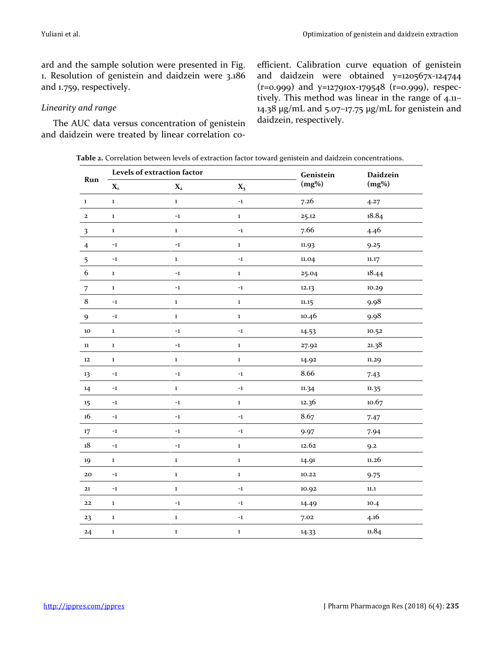ard and the sample solution were presented in Fig. 1. Resolution of genistein and daidzein were 3.186 and 1.759, respectively.

#### *Linearity and range*

The AUC data versus concentration of genistein and daidzein were treated by linear correlation coefficient. Calibration curve equation of genistein and daidzein were obtained y=120567x-124744 (r=0.999) and y=127910x-179548 (r=0.999), respectively. This method was linear in the range of 4.11– 14.38 μg/mL and 5.07–17.75 μg/mL for genistein and daidzein, respectively.

**Table 2.** Correlation between levels of extraction factor toward genistein and daidzein concentrations.

|                            | Levels of extraction factor |                         |             | Genistein | <b>Daidzein</b> |
|----------------------------|-----------------------------|-------------------------|-------------|-----------|-----------------|
| Run                        | $\mathbf{X}_\mathbf{1}$     | $\mathbf{X}_\mathbf{2}$ | $X_3$       | $(mg\%)$  | $(mg\%)$        |
| $\bf 1$                    | $\mathbf 1$                 | $\mathbf 1$             | $-1$        | 7.26      | 4.27            |
| $\mathbf{2}$               | $\bf{1}$                    | $^{\rm -1}$             | $\mathbf 1$ | 25.12     | 18.84           |
| $\overline{\mathbf{3}}$    | $\bf{1}$                    | $\mathbf 1$             | $-1$        | 7.66      | 4.46            |
| $\overline{4}$             | $^{\rm -1}$                 | $-1$                    | $\mathbf 1$ | 11.93     | 9.25            |
| 5                          | $^{\rm -1}$                 | $\bf 1$                 | $-1$        | 11.04     | 11.17           |
| 6                          | $\mathbf 1$                 | $-1$                    | $\mathbf 1$ | 25.04     | 18.44           |
| $\overline{7}$             | $\mathbf 1$                 | $-1$                    | $-1$        | 12.13     | 10.29           |
| $\bf 8$                    | $^{\rm -1}$                 | $\mathbf 1$             | $\mathbf 1$ | 11.15     | 9.98            |
| $\boldsymbol{9}$           | $^{\rm -1}$                 | $\mathbf 1$             | $\mathbf 1$ | 10.46     | 9.98            |
| $10\,$                     | $\mathbf 1$                 | $-1$                    | $-1$        | 14.53     | 10.52           |
| $11\,$                     | $\mathbf 1$                 | $^{\rm -1}$             | $\mathbf 1$ | 27.92     | 21.38           |
| $\bf 12$                   | $\mathbf 1$                 | $\bf 1$                 | $\mathbf 1$ | 14.92     | 11.29           |
| 13                         | $-1$                        | $-1$                    | $-1$        | 8.66      | 7.43            |
| 14                         | $^{\rm -1}$                 | $\mathbf 1$             | $-1$        | 11.34     | 11.35           |
| $15\phantom{.0}$           | $^{\rm -1}$                 | $-1$                    | $\mathbf 1$ | 12.36     | 10.67           |
| 16                         | $^{\rm -1}$                 | $-1$                    | $-1$        | 8.67      | 7.47            |
| $17\text{ }$               | $-1$                        | $-1$                    | $-1$        | 9.97      | 7.94            |
| $\ensuremath{\mathrm{18}}$ | $^{\rm -1}$                 | $-1$                    | $\mathbf 1$ | 12.62     | 9.2             |
| 19                         | $\mathbf 1$                 | $\mathbf 1$             | $\mathbf 1$ | 14.91     | 11.26           |
| ${\bf 20}$                 | $-1$                        | $\mathbf 1$             | $\mathbf 1$ | 10.22     | 9.75            |
| 21                         | $^{\rm -1}$                 | $\mathbf 1$             | $-1$        | 10.92     | $11.1\,$        |
| $\bf{22}$                  | $\mathbf 1$                 | $^{\rm -1}$             | $-1$        | 14.49     | 10.4            |
| 23                         | $\mathbf 1$                 | $\mathbf 1$             | $-1$        | 7.02      | 4.16            |
| 24                         | $\mathbf 1$                 | $\mathbf 1$             | $\mathbf 1$ | 14.33     | 11.84           |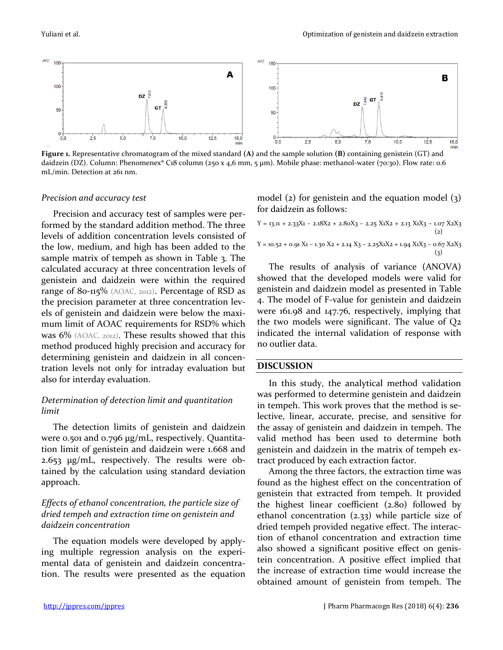

**Figure 1.** Representative chromatogram of the mixed standard **(A)** and the sample solution **(B)** containing genistein (GT) and daidzein (DZ). Column: Phenomenex® C18 column (250 x 4,6 mm, 5 µm). Mobile phase: methanol-water (70:30). Flow rate: 0.6 mL/min. Detection at 261 nm.

#### *Precision and accuracy test*

Precision and accuracy test of samples were performed by the standard addition method. The three levels of addition concentration levels consisted of the low, medium, and high has been added to the sample matrix of tempeh as shown in Table 3. The calculated accuracy at three concentration levels of genistein and daidzein were within the required range of 80-115% (AOAC, 2012). Percentage of RSD as the precision parameter at three concentration levels of genistein and daidzein were below the maximum limit of AOAC requirements for RSD% which was 6% (AOAC, 2012). These results showed that this method produced highly precision and accuracy for determining genistein and daidzein in all concentration levels not only for intraday evaluation but also for interday evaluation.

## *Determination of detection limit and quantitation limit*

The detection limits of genistein and daidzein were 0.501 and 0.796 μg/mL, respectively. Quantitation limit of genistein and daidzein were 1.668 and 2.653 μg/mL, respectively. The results were obtained by the calculation using standard deviation approach.

## *Effects of ethanol concentration, the particle size of dried tempeh and extraction time on genistein and daidzein concentration*

The equation models were developed by applying multiple regression analysis on the experimental data of genistein and daidzein concentration. The results were presented as the equation model (2) for genistein and the equation model (3) for daidzein as follows:

$$
Y = 13.11 + 2.33X1 - 2.18X2 + 2.80X3 - 2.25 X1X2 + 2.13 X1X3 - 1.07 X2X3
$$
\n
$$
\tag{2}
$$
\n
$$
Y = 10.52 + 0.91 X1 - 1.30 X2 + 2.14 X3 - 2.25X1X2 + 1.94 X1X3 - 0.67 X2X3
$$
\n
$$
\tag{3}
$$

The results of analysis of variance (ANOVA) showed that the developed models were valid for genistein and daidzein model as presented in Table 4. The model of F-value for genistein and daidzein were 161.98 and 147.76, respectively, implying that the two models were significant. The value of Q2 indicated the internal validation of response with no outlier data.

#### **DISCUSSION**

In this study, the analytical method validation was performed to determine genistein and daidzein in tempeh. This work proves that the method is selective, linear, accurate, precise, and sensitive for the assay of genistein and daidzein in tempeh. The valid method has been used to determine both genistein and daidzein in the matrix of tempeh extract produced by each extraction factor.

Among the three factors, the extraction time was found as the highest effect on the concentration of genistein that extracted from tempeh. It provided the highest linear coefficient (2.80) followed by ethanol concentration (2.33) while particle size of dried tempeh provided negative effect. The interaction of ethanol concentration and extraction time also showed a significant positive effect on genistein concentration. A positive effect implied that the increase of extraction time would increase the obtained amount of genistein from tempeh. The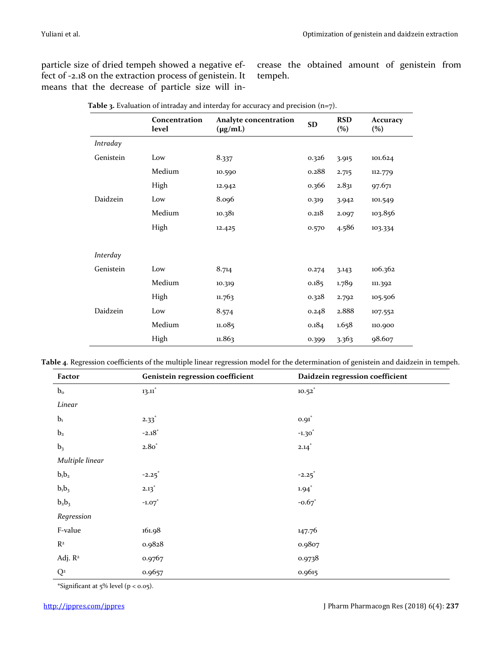particle size of dried tempeh showed a negative effect of -2.18 on the extraction process of genistein. It means that the decrease of particle size will in-

crease the obtained amount of genistein from tempeh.

|           | Concentration<br>level | Analyte concentration<br>$(\mu g/mL)$ | SD    | <b>RSD</b><br>(%) | Accuracy<br>$(\%)$ |
|-----------|------------------------|---------------------------------------|-------|-------------------|--------------------|
| Intraday  |                        |                                       |       |                   |                    |
| Genistein | Low                    | 8.337                                 | 0.326 | 3.915             | 101.624            |
|           | Medium                 | 10.590                                | 0.288 | 2.715             | 112.779            |
|           | High                   | 12.942                                | 0.366 | 2.831             | 97.671             |
| Daidzein  | Low                    | 8.096                                 | 0.319 | 3.942             | 101.549            |
|           | Medium                 | 10.381                                | 0.218 | 2.097             | 103.856            |
|           | High                   | 12.425                                | 0.570 | 4.586             | 103.334            |
| Interday  |                        |                                       |       |                   |                    |
| Genistein | Low                    | 8.714                                 | 0.274 | 3.143             | 106.362            |
|           | Medium                 | 10.319                                | 0.185 | 1.789             | 111.392            |
|           | High                   | 11.763                                | 0.328 | 2.792             | 105.506            |
| Daidzein  | Low                    | 8.574                                 | 0.248 | 2.888             | 107.552            |
|           | Medium                 | 11.085                                | 0.184 | 1.658             | 110.900            |
|           | High                   | 11.863                                | 0.399 | 3.363             | 98.607             |

**Table 3.** Evaluation of intraday and interday for accuracy and precision (n=7).

**Table 4**. Regression coefficients of the multiple linear regression model for the determination of genistein and daidzein in tempeh.

| Factor                  | Genistein regression coefficient | Daidzein regression coefficient |
|-------------------------|----------------------------------|---------------------------------|
| $b_{o}$                 | $13.11*$                         | $10.52^{*}$                     |
| Linear                  |                                  |                                 |
| b <sub>1</sub>          | $2.33*$                          | $0.91$ <sup>*</sup>             |
| b <sub>2</sub>          | $-2.18*$                         | $-1.30^{*}$                     |
| b <sub>3</sub>          | $2.80^*$                         | $2.14*$                         |
| Multiple linear         |                                  |                                 |
| $b_1b_2$                | $-2.25^*$                        | $-2.25^*$                       |
| $b_1b_3$                | $2.13^*$                         | $1.94$ <sup>*</sup>             |
| $b_2b_3$                | $-1.07$                          | $-0.67$ <sup>*</sup>            |
| Regression              |                                  |                                 |
| F-value                 | 161.98                           | 147.76                          |
| $R^2$                   | 0.9828                           | 0.9807                          |
| Adj. R <sup>2</sup>     | 0.9767                           | 0.9738                          |
| $\mathbf{Q}^{\text{2}}$ | 0.9657                           | 0.9615                          |

\*Significant at  $5\%$  level ( $p < 0.05$ ).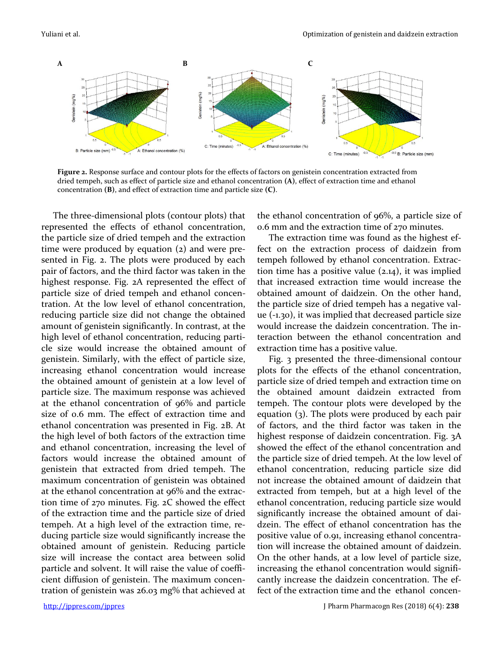

**Figure 2.** Response surface and contour plots for the effects of factors on genistein concentration extracted from dried tempeh, such as effect of particle size and ethanol concentration **(A)**, effect of extraction time and ethanol concentration **(B)**, and effect of extraction time and particle size **(C)**.

The three-dimensional plots (contour plots) that represented the effects of ethanol concentration, the particle size of dried tempeh and the extraction time were produced by equation (2) and were presented in Fig. 2. The plots were produced by each pair of factors, and the third factor was taken in the highest response. Fig. 2A represented the effect of particle size of dried tempeh and ethanol concentration. At the low level of ethanol concentration, reducing particle size did not change the obtained amount of genistein significantly. In contrast, at the high level of ethanol concentration, reducing particle size would increase the obtained amount of genistein. Similarly, with the effect of particle size, increasing ethanol concentration would increase the obtained amount of genistein at a low level of particle size. The maximum response was achieved at the ethanol concentration of 96% and particle size of 0.6 mm. The effect of extraction time and ethanol concentration was presented in Fig. 2B. At the high level of both factors of the extraction time and ethanol concentration, increasing the level of factors would increase the obtained amount of genistein that extracted from dried tempeh. The maximum concentration of genistein was obtained at the ethanol concentration at 96% and the extraction time of 270 minutes. Fig. 2C showed the effect of the extraction time and the particle size of dried tempeh. At a high level of the extraction time, reducing particle size would significantly increase the obtained amount of genistein. Reducing particle size will increase the contact area between solid particle and solvent. It will raise the value of coefficient diffusion of genistein. The maximum concentration of genistein was 26.03 mg% that achieved at

the ethanol concentration of 96%, a particle size of 0.6 mm and the extraction time of 270 minutes.

The extraction time was found as the highest effect on the extraction process of daidzein from tempeh followed by ethanol concentration. Extraction time has a positive value (2.14), it was implied that increased extraction time would increase the obtained amount of daidzein. On the other hand, the particle size of dried tempeh has a negative value (-1.30), it was implied that decreased particle size would increase the daidzein concentration. The interaction between the ethanol concentration and extraction time has a positive value.

Fig. 3 presented the three-dimensional contour plots for the effects of the ethanol concentration, particle size of dried tempeh and extraction time on the obtained amount daidzein extracted from tempeh. The contour plots were developed by the equation (3). The plots were produced by each pair of factors, and the third factor was taken in the highest response of daidzein concentration. Fig. 3A showed the effect of the ethanol concentration and the particle size of dried tempeh. At the low level of ethanol concentration, reducing particle size did not increase the obtained amount of daidzein that extracted from tempeh, but at a high level of the ethanol concentration, reducing particle size would significantly increase the obtained amount of daidzein. The effect of ethanol concentration has the positive value of 0.91, increasing ethanol concentration will increase the obtained amount of daidzein. On the other hands, at a low level of particle size, increasing the ethanol concentration would significantly increase the daidzein concentration. The effect of the extraction time and the ethanol concen-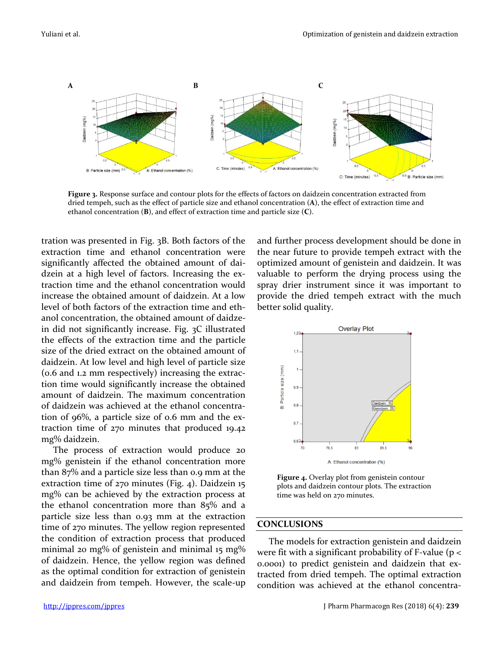

**Figure 3.** Response surface and contour plots for the effects of factors on daidzein concentration extracted from dried tempeh, such as the effect of particle size and ethanol concentration (**A**), the effect of extraction time and ethanol concentration (**B**), and effect of extraction time and particle size (**C**).

tration was presented in Fig. 3B. Both factors of the extraction time and ethanol concentration were significantly affected the obtained amount of daidzein at a high level of factors. Increasing the extraction time and the ethanol concentration would increase the obtained amount of daidzein. At a low level of both factors of the extraction time and ethanol concentration, the obtained amount of daidzein did not significantly increase. Fig. 3C illustrated the effects of the extraction time and the particle size of the dried extract on the obtained amount of daidzein. At low level and high level of particle size (0.6 and 1.2 mm respectively) increasing the extraction time would significantly increase the obtained amount of daidzein. The maximum concentration of daidzein was achieved at the ethanol concentration of 96%, a particle size of 0.6 mm and the extraction time of 270 minutes that produced 19.42 mg% daidzein.

The process of extraction would produce 20 mg% genistein if the ethanol concentration more than 87% and a particle size less than 0.9 mm at the extraction time of 270 minutes (Fig. 4). Daidzein 15 mg% can be achieved by the extraction process at the ethanol concentration more than 85% and a particle size less than 0.93 mm at the extraction time of 270 minutes. The yellow region represented the condition of extraction process that produced minimal 20 mg% of genistein and minimal 15 mg% of daidzein. Hence, the yellow region was defined as the optimal condition for extraction of genistein and daidzein from tempeh. However, the scale-up

and further process development should be done in the near future to provide tempeh extract with the optimized amount of genistein and daidzein. It was valuable to perform the drying process using the spray drier instrument since it was important to provide the dried tempeh extract with the much better solid quality.



**Figure 4.** Overlay plot from genistein contour plots and daidzein contour plots. The extraction time was held on 270 minutes.

#### **CONCLUSIONS**

The models for extraction genistein and daidzein were fit with a significant probability of F-value (p < 0.0001) to predict genistein and daidzein that extracted from dried tempeh. The optimal extraction condition was achieved at the ethanol concentra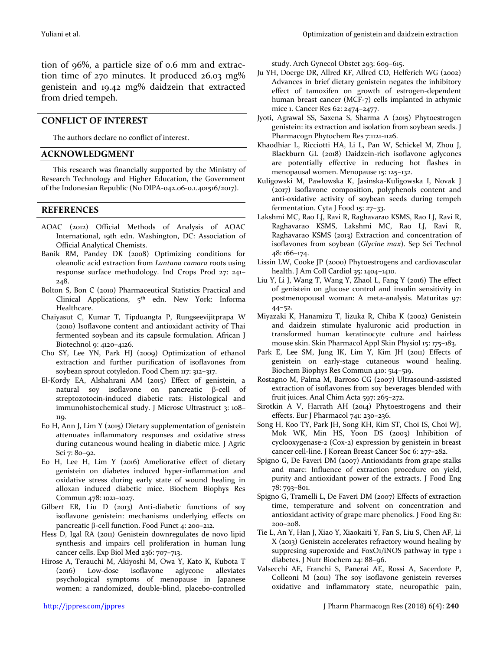tion of 96%, a particle size of 0.6 mm and extraction time of 270 minutes. It produced 26.03 mg% genistein and 19.42 mg% daidzein that extracted from dried tempeh.

#### **CONFLICT OF INTEREST**

The authors declare no conflict of interest.

#### **ACKNOWLEDGMENT**

This research was financially supported by the Ministry of Research Technology and Higher Education, the Government of the Indonesian Republic (No DIPA-042.06-0.1.401516/2017).

#### **REFERENCES**

- AOAC (2012) Official Methods of Analysis of AOAC International, 19th edn. Washington, DC: Association of Official Analytical Chemists.
- Banik RM, Pandey DK (2008) Optimizing conditions for oleanolic acid extraction from *Lantana camara* roots using response surface methodology. Ind Crops Prod 27: 241– 248.
- Bolton S, Bon C (2010) Pharmaceutical Statistics Practical and Clinical Applications, 5<sup>th</sup> edn. New York: Informa Healthcare.
- Chaiyasut C, Kumar T, Tipduangta P, Rungseevijitprapa W (2010) Isoflavone content and antioxidant activity of Thai fermented soybean and its capsule formulation. African J Biotechnol 9: 4120–4126.
- Cho SY, Lee YN, Park HJ (2009) Optimization of ethanol extraction and further purification of isoflavones from soybean sprout cotyledon. Food Chem 117: 312–317.
- El-Kordy EA, Alshahrani AM (2015) Effect of genistein, a natural soy isoflavone on pancreatic  $\beta$ -cell of streptozotocin-induced diabetic rats: Histological and immunohistochemical study. J Microsc Ultrastruct 3: 108– 119.
- Eo H, Ann J, Lim Y (2015) Dietary supplementation of genistein attenuates inflammatory responses and oxidative stress during cutaneous wound healing in diabetic mice. J Agric Sci 7: 80–92.
- Eo H, Lee H, Lim Y (2016) Ameliorative effect of dietary genistein on diabetes induced hyper-inflammation and oxidative stress during early state of wound healing in alloxan induced diabetic mice. Biochem Biophys Res Commun 478: 1021–1027.
- Gilbert ER, Liu D (2013) Anti-diabetic functions of soy isoflavone genistein: mechanisms underlying effects on pancreatic  $\beta$ -cell function. Food Funct 4: 200–212.
- Hess D, Igal RA (2011) Genistein downregulates de novo lipid synthesis and impairs cell proliferation in human lung cancer cells. Exp Biol Med 236: 707–713.
- Hirose A, Terauchi M, Akiyoshi M, Owa Y, Kato K, Kubota T (2016) Low-dose isoflavone aglycone alleviates psychological symptoms of menopause in Japanese women: a randomized, double-blind, placebo-controlled

study. Arch Gynecol Obstet 293: 609–615.

- Ju YH, Doerge DR, Allred KF, Allred CD, Helferich WG (2002) Advances in brief dietary genistein negates the inhibitory effect of tamoxifen on growth of estrogen-dependent human breast cancer (MCF-7) cells implanted in athymic mice 1. Cancer Res 62: 2474–2477.
- Jyoti, Agrawal SS, Saxena S, Sharma A (2015) Phytoestrogen genistein: its extraction and isolation from soybean seeds. J Pharmacogn Phytochem Res 7:1121-1126.
- Khaodhiar L, Ricciotti HA, Li L, Pan W, Schickel M, Zhou J, Blackburn GL (2018) Daidzein-rich isoflavone aglycones are potentially effective in reducing hot flashes in menopausal women. Menopause 15: 125–132.
- Kuligowski M, Pawlowska K, Jasinska-Kuligowska I, Novak J (2017) Isoflavone composition, polyphenols content and anti-oxidative activity of soybean seeds during tempeh fermentation. Cyta J Food 15: 27–33.
- Lakshmi MC, Rao LJ, Ravi R, Raghavarao KSMS, Rao LJ, Ravi R, Raghavarao KSMS, Lakshmi MC, Rao LJ, Ravi R, Raghavarao KSMS (2013) Extraction and concentration of isoflavones from soybean (*Glycine max*). Sep Sci Technol 48: 166–174.
- Lissin LW, Cooke JP (2000) Phytoestrogens and cardiovascular health. J Am Coll Cardiol 35: 1404–1410.
- Liu Y, Li J, Wang T, Wang Y, Zhaol L, Fang Y (2016) The effect of genistein on glucose control and insulin sensitivity in postmenopousal woman: A meta-analysis. Maturitas 97: 44–52.
- Miyazaki K, Hanamizu T, Iizuka R, Chiba K (2002) Genistein and daidzein stimulate hyaluronic acid production in transformed human keratinocyte culture and hairless mouse skin. Skin Pharmacol Appl Skin Physiol 15: 175–183.
- Park E, Lee SM, Jung IK, Lim Y, Kim JH (2011) Effects of genistein on early-stage cutaneous wound healing. Biochem Biophys Res Commun 410: 514–519.
- Rostagno M, Palma M, Barroso CG (2007) Ultrasound-assisted extraction of isoflavones from soy beverages blended with fruit juices. Anal Chim Acta 597: 265-272.
- Sirotkin A V, Harrath AH (2014) Phytoestrogens and their effects. Eur J Pharmacol 741: 230–236.
- Song H, Koo TY, Park JH, Song KH, Kim ST, Choi IS, Choi WJ, Mok WK, Min HS, Yoon DS (2003) Inhibition of cyclooxygenase-2 (Cox-2) expression by genistein in breast cancer cell-line. J Korean Breast Cancer Soc 6: 277–282.
- Spigno G, De Faveri DM (2007) Antioxidants from grape stalks and marc: Influence of extraction procedure on yield, purity and antioxidant power of the extracts. J Food Eng 78: 793–801.
- Spigno G, Tramelli L, De Faveri DM (2007) Effects of extraction time, temperature and solvent on concentration and antioxidant activity of grape marc phenolics. J Food Eng 81: 200–208.
- Tie L, An Y, Han J, Xiao Y, Xiaokaiti Y, Fan S, Liu S, Chen AF, Li X (2013) Genistein accelerates refractory wound healing by suppresing superoxide and FoxO1/iNOS pathway in type 1 diabetes. J Nutr Biochem 24: 88–96.
- Valsecchi AE, Franchi S, Panerai AE, Rossi A, Sacerdote P, Colleoni M (2011) The soy isoflavone genistein reverses oxidative and inflammatory state, neuropathic pain,